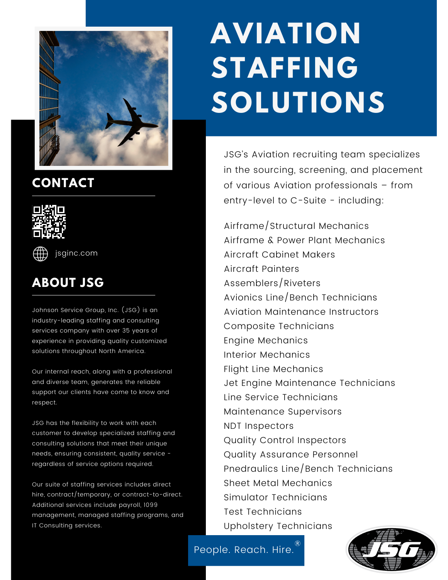

# **CONTACT**





[jsginc.com](http://jsginc.com/)

# **ABOUT JSG**

Johnson Service Group, Inc. (JSG) is an industry-leading staffing and consulting services company with over 35 years of experience in providing quality customized solutions throughout North America.

Our internal reach, along with a professional and diverse team, generates the reliable support our clients have come to know and respect.

JSG has the flexibility to work with each customer to develop specialized staffing and consulting solutions that meet their unique needs, ensuring consistent, quality service regardless of service options required.

Our suite of staffing services includes direct hire, contract/temporary, or contract-to-direct. Additional services include payroll, 1099 management, managed staffing programs, and IT Consulting services.

# **AVIATION STAFFING SOLUTIONS**

JSG's Aviation recruiting team specializes in the sourcing, screening, and placement of various Aviation professionals – from entry-level to C-Suite - including:

Airframe/Structural Mechanics Airframe & Power Plant Mechanics Aircraft Cabinet Makers Aircraft Painters Assemblers/Riveters Avionics Line/Bench Technicians Aviation Maintenance Instructors Composite Technicians Engine Mechanics Interior Mechanics Flight Line Mechanics Jet Engine Maintenance Technicians Line Service Technicians Maintenance Supervisors NDT Inspectors Quality Control Inspectors Quality Assurance Personnel Pnedraulics Line/Bench Technicians Sheet Metal Mechanics Simulator Technicians Test Technicians Upholstery Technicians

People. Reach. Hire.  $^{\circledR}$